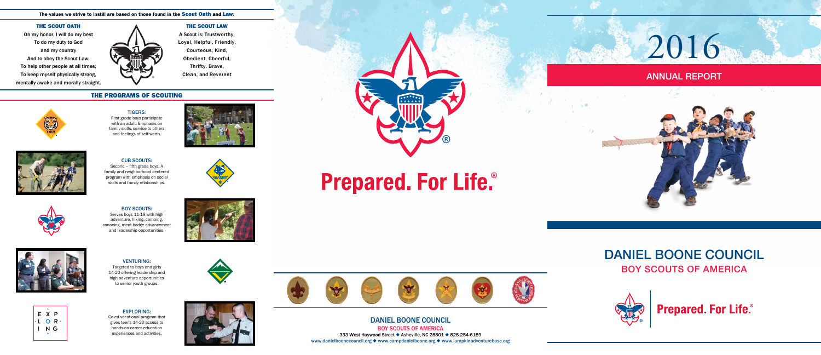# DANIEL BOONE COUNCIL BOY SCOUTS OF AMERICA



**Prepared. For Life.**®



 $\mathcal{N}$  is a set of

DANIEL BOONE COUNCIL BOY SCOUTS OF AMERICA 333 West Haywood Street • Asheville, NC 28801 • 828-254-6189 www.danielboonecouncil.org  $\blacklozenge$  www.campdanielboone.org  $\blacklozenge$  www.lumpkinadventurebase.org

## ANNUAL REPORT

2016



## THE PROGRAMS OF SCOUTING

#### THE SCOUT LAW

A Scout is: Trustworthy, Loyal, Helpful, Friendly, Courteous, Kind, Obedient, Cheerful, Thrifty, Brave, Clean, and Reverent

#### The values we strive to instill are based on those found in the **Scout Oath and Law**:

#### THE SCOUT OATH

On my honor, I will do my best To do my duty to God and my country And to obey the Scout Law; To help other people at all times; To keep myself physically strong, mentally awake and morally straight.



## EXPLORING:

Co-ed vocational program that gives teens 14-20 access to hands-on career education experiences and activities.





#### VENTURING:

Targeted to boys and girls 14-20 offering leadership and high adventure opportunities to senior youth groups.

## BOY SCOUTS:

Serves boys 11-18 with high adventure, hiking, camping, canoeing, merit badge advancement and leadership opportunities.







TIGERS: First grade boys participate with an adult. Emphasis on family skills, service to others and feelings of self-worth.





CUB SCOUTS: Second – fifth grade boys. A family and neighborhood centered program with emphasis on social skills and family relationships.



# **Prepared. For Life.**